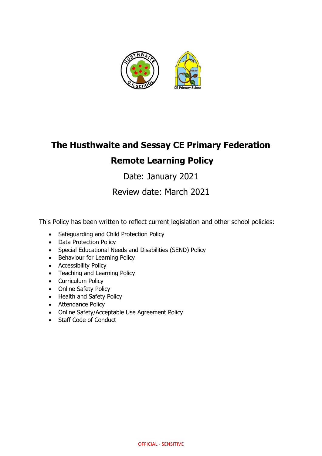

# **The Husthwaite and Sessay CE Primary Federation Remote Learning Policy**

Date: January 2021

Review date: March 2021

This Policy has been written to reflect current legislation and other school policies:

- Safeguarding and Child Protection Policy
- Data Protection Policy
- Special Educational Needs and Disabilities (SEND) Policy
- Behaviour for Learning Policy
- Accessibility Policy
- Teaching and Learning Policy
- Curriculum Policy
- Online Safety Policy
- Health and Safety Policy
- Attendance Policy
- Online Safety/Acceptable Use Agreement Policy
- Staff Code of Conduct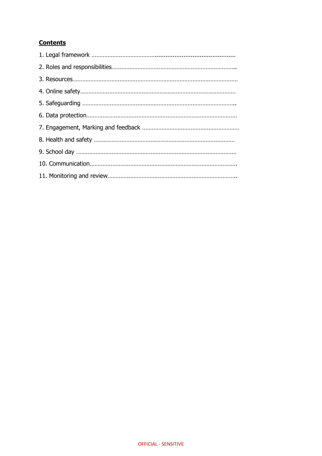## **Contents**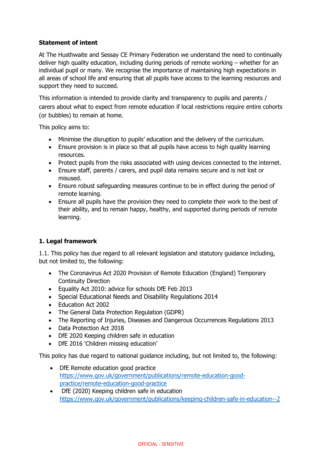## **Statement of intent**

At The Husthwaite and Sessay CE Primary Federation we understand the need to continually deliver high quality education, including during periods of remote working – whether for an individual pupil or many. We recognise the importance of maintaining high expectations in all areas of school life and ensuring that all pupils have access to the learning resources and support they need to succeed.

This information is intended to provide clarity and transparency to pupils and parents / carers about what to expect from remote education if local restrictions require entire cohorts (or bubbles) to remain at home.

This policy aims to:

- Minimise the disruption to pupils' education and the delivery of the curriculum.
- Ensure provision is in place so that all pupils have access to high quality learning resources.
- Protect pupils from the risks associated with using devices connected to the internet.
- Ensure staff, parents / carers, and pupil data remains secure and is not lost or misused.
- Ensure robust safeguarding measures continue to be in effect during the period of remote learning.
- Ensure all pupils have the provision they need to complete their work to the best of their ability, and to remain happy, healthy, and supported during periods of remote learning.

### **1. Legal framework**

1.1. This policy has due regard to all relevant legislation and statutory guidance including, but not limited to, the following:

- The Coronavirus Act 2020 Provision of Remote Education (England) Temporary Continuity Direction
- Equality Act 2010: advice for schools DfE Feb 2013
- Special Educational Needs and Disability Regulations 2014
- Education Act 2002
- The General Data Protection Regulation (GDPR)
- The Reporting of Injuries, Diseases and Dangerous Occurrences Regulations 2013
- Data Protection Act 2018
- DfE 2020 Keeping children safe in education
- DfE 2016 'Children missing education'

This policy has due regard to national guidance including, but not limited to, the following:

- DfE Remote education good practice [https://www.gov.uk/government/publications/remote-education-good](https://www.gov.uk/government/publications/remote-education-good-practice/remote-education-good-practice)[practice/remote-education-good-practice](https://www.gov.uk/government/publications/remote-education-good-practice/remote-education-good-practice)
- DfE (2020) Keeping children safe in education <https://www.gov.uk/government/publications/keeping-children-safe-in-education--2>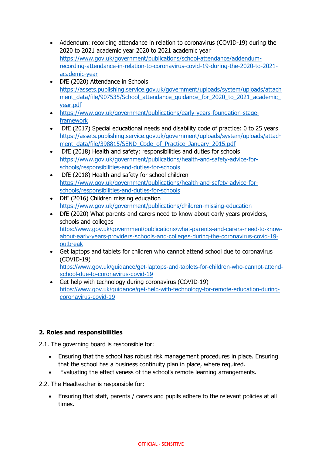- Addendum: recording attendance in relation to coronavirus (COVID-19) during the 2020 to 2021 academic year 2020 to 2021 academic year [https://www.gov.uk/government/publications/school-attendance/addendum](https://www.gov.uk/government/publications/school-attendance/addendum-recording-attendance-in-relation-to-coronavirus-covid-19-during-the-2020-to-2021-academic-year)[recording-attendance-in-relation-to-coronavirus-covid-19-during-the-2020-to-2021](https://www.gov.uk/government/publications/school-attendance/addendum-recording-attendance-in-relation-to-coronavirus-covid-19-during-the-2020-to-2021-academic-year) [academic-year](https://www.gov.uk/government/publications/school-attendance/addendum-recording-attendance-in-relation-to-coronavirus-covid-19-during-the-2020-to-2021-academic-year)
- DfE (2020) Attendance in Schools [https://assets.publishing.service.gov.uk/government/uploads/system/uploads/attach](https://assets.publishing.service.gov.uk/government/uploads/system/uploads/attachment_data/file/907535/School_attendance_guidance_for_2020_to_2021_academic_year.pdf) ment\_data/file/907535/School\_attendance\_quidance\_for\_2020\_to\_2021\_academic [year.pdf](https://assets.publishing.service.gov.uk/government/uploads/system/uploads/attachment_data/file/907535/School_attendance_guidance_for_2020_to_2021_academic_year.pdf)
- [https://www.gov.uk/government/publications/early-years-foundation-stage](https://www.gov.uk/government/publications/early-years-foundation-stage-framework)[framework](https://www.gov.uk/government/publications/early-years-foundation-stage-framework)
- DfE (2017) Special educational needs and disability code of practice: 0 to 25 years [https://assets.publishing.service.gov.uk/government/uploads/system/uploads/attach](https://assets.publishing.service.gov.uk/government/uploads/system/uploads/attachment_data/file/398815/SEND_Code_of_Practice_January_2015.pdf) [ment\\_data/file/398815/SEND\\_Code\\_of\\_Practice\\_January\\_2015.pdf](https://assets.publishing.service.gov.uk/government/uploads/system/uploads/attachment_data/file/398815/SEND_Code_of_Practice_January_2015.pdf)
- DfE (2018) Health and safety: responsibilities and duties for schools [https://www.gov.uk/government/publications/health-and-safety-advice-for](https://www.gov.uk/government/publications/health-and-safety-advice-for-schools/responsibilities-and-duties-for-schools)[schools/responsibilities-and-duties-for-schools](https://www.gov.uk/government/publications/health-and-safety-advice-for-schools/responsibilities-and-duties-for-schools)
- DfE (2018) Health and safety for school children [https://www.gov.uk/government/publications/health-and-safety-advice-for](https://www.gov.uk/government/publications/health-and-safety-advice-for-schools/responsibilities-and-duties-for-schools)[schools/responsibilities-and-duties-for-schools](https://www.gov.uk/government/publications/health-and-safety-advice-for-schools/responsibilities-and-duties-for-schools)
- DfE (2016) Children missing education <https://www.gov.uk/government/publications/children-missing-education>
- DfE (2020) What parents and carers need to know about early years providers, schools and colleges [https://www.gov.uk/government/publications/what-parents-and-carers-need-to-know](https://www.gov.uk/government/publications/what-parents-and-carers-need-to-know-about-early-years-providers-schools-and-colleges-during-the-coronavirus-covid-19-outbreak)[about-early-years-providers-schools-and-colleges-during-the-coronavirus-covid-19](https://www.gov.uk/government/publications/what-parents-and-carers-need-to-know-about-early-years-providers-schools-and-colleges-during-the-coronavirus-covid-19-outbreak) [outbreak](https://www.gov.uk/government/publications/what-parents-and-carers-need-to-know-about-early-years-providers-schools-and-colleges-during-the-coronavirus-covid-19-outbreak)
- Get laptops and tablets for children who cannot attend school due to coronavirus (COVID-19) [https://www.gov.uk/guidance/get-laptops-and-tablets-for-children-who-cannot-attend](https://www.gov.uk/guidance/get-laptops-and-tablets-for-children-who-cannot-attend-school-due-to-coronavirus-covid-19)[school-due-to-coronavirus-covid-19](https://www.gov.uk/guidance/get-laptops-and-tablets-for-children-who-cannot-attend-school-due-to-coronavirus-covid-19)
- Get help with technology during coronavirus (COVID-19) [https://www.gov.uk/guidance/get-help-with-technology-for-remote-education-during](https://www.gov.uk/guidance/get-help-with-technology-for-remote-education-during-coronavirus-covid-19)[coronavirus-covid-19](https://www.gov.uk/guidance/get-help-with-technology-for-remote-education-during-coronavirus-covid-19)

## **2. Roles and responsibilities**

- 2.1. The governing board is responsible for:
	- Ensuring that the school has robust risk management procedures in place. Ensuring that the school has a business continuity plan in place, where required.
	- Evaluating the effectiveness of the school's remote learning arrangements.
- 2.2. The Headteacher is responsible for:
	- Ensuring that staff, parents / carers and pupils adhere to the relevant policies at all times.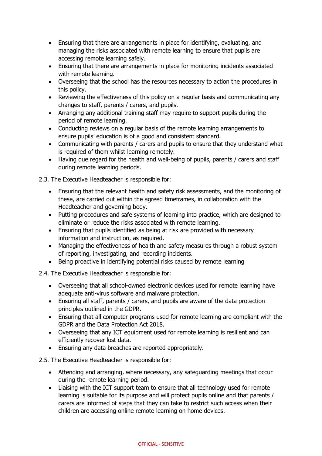- Ensuring that there are arrangements in place for identifying, evaluating, and managing the risks associated with remote learning to ensure that pupils are accessing remote learning safely.
- Ensuring that there are arrangements in place for monitoring incidents associated with remote learning.
- Overseeing that the school has the resources necessary to action the procedures in this policy.
- Reviewing the effectiveness of this policy on a regular basis and communicating any changes to staff, parents / carers, and pupils.
- Arranging any additional training staff may require to support pupils during the period of remote learning.
- Conducting reviews on a regular basis of the remote learning arrangements to ensure pupils' education is of a good and consistent standard.
- Communicating with parents / carers and pupils to ensure that they understand what is required of them whilst learning remotely.
- Having due regard for the health and well-being of pupils, parents / carers and staff during remote learning periods.

2.3. The Executive Headteacher is responsible for:

- Ensuring that the relevant health and safety risk assessments, and the monitoring of these, are carried out within the agreed timeframes, in collaboration with the Headteacher and governing body.
- Putting procedures and safe systems of learning into practice, which are designed to eliminate or reduce the risks associated with remote learning.
- Ensuring that pupils identified as being at risk are provided with necessary information and instruction, as required.
- Managing the effectiveness of health and safety measures through a robust system of reporting, investigating, and recording incidents.
- Being proactive in identifying potential risks caused by remote learning

2.4. The Executive Headteacher is responsible for:

- Overseeing that all school-owned electronic devices used for remote learning have adequate anti-virus software and malware protection.
- Ensuring all staff, parents / carers, and pupils are aware of the data protection principles outlined in the GDPR.
- Ensuring that all computer programs used for remote learning are compliant with the GDPR and the Data Protection Act 2018.
- Overseeing that any ICT equipment used for remote learning is resilient and can efficiently recover lost data.
- Ensuring any data breaches are reported appropriately.

2.5. The Executive Headteacher is responsible for:

- Attending and arranging, where necessary, any safeguarding meetings that occur during the remote learning period.
- Liaising with the ICT support team to ensure that all technology used for remote learning is suitable for its purpose and will protect pupils online and that parents / carers are informed of steps that they can take to restrict such access when their children are accessing online remote learning on home devices.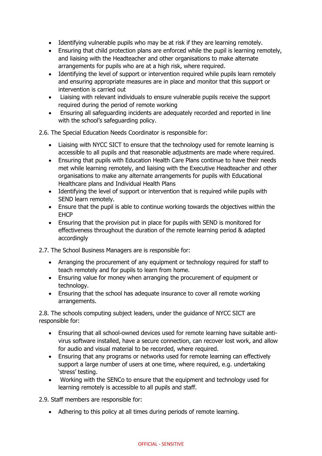- Identifying vulnerable pupils who may be at risk if they are learning remotely.
- Ensuring that child protection plans are enforced while the pupil is learning remotely, and liaising with the Headteacher and other organisations to make alternate arrangements for pupils who are at a high risk, where required.
- Identifying the level of support or intervention required while pupils learn remotely and ensuring appropriate measures are in place and monitor that this support or intervention is carried out
- Liaising with relevant individuals to ensure vulnerable pupils receive the support required during the period of remote working
- Ensuring all safeguarding incidents are adequately recorded and reported in line with the school's safeguarding policy.

2.6. The Special Education Needs Coordinator is responsible for:

- Liaising with NYCC SICT to ensure that the technology used for remote learning is accessible to all pupils and that reasonable adjustments are made where required.
- Ensuring that pupils with Education Health Care Plans continue to have their needs met while learning remotely, and liaising with the Executive Headteacher and other organisations to make any alternate arrangements for pupils with Educational Healthcare plans and Individual Health Plans
- Identifying the level of support or intervention that is required while pupils with SEND learn remotely.
- Ensure that the pupil is able to continue working towards the objectives within the EHCP
- Ensuring that the provision put in place for pupils with SEND is monitored for effectiveness throughout the duration of the remote learning period & adapted accordingly

2.7. The School Business Managers are is responsible for:

- Arranging the procurement of any equipment or technology required for staff to teach remotely and for pupils to learn from home.
- Ensuring value for money when arranging the procurement of equipment or technology.
- Ensuring that the school has adequate insurance to cover all remote working arrangements.

2.8. The schools computing subject leaders, under the guidance of NYCC SICT are responsible for:

- Ensuring that all school-owned devices used for remote learning have suitable antivirus software installed, have a secure connection, can recover lost work, and allow for audio and visual material to be recorded, where required.
- Ensuring that any programs or networks used for remote learning can effectively support a large number of users at one time, where required, e.g. undertaking 'stress' testing.
- Working with the SENCo to ensure that the equipment and technology used for learning remotely is accessible to all pupils and staff.

2.9. Staff members are responsible for:

• Adhering to this policy at all times during periods of remote learning.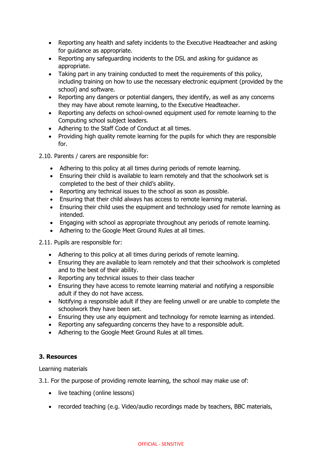- Reporting any health and safety incidents to the Executive Headteacher and asking for guidance as appropriate.
- Reporting any safeguarding incidents to the DSL and asking for guidance as appropriate.
- Taking part in any training conducted to meet the requirements of this policy, including training on how to use the necessary electronic equipment (provided by the school) and software.
- Reporting any dangers or potential dangers, they identify, as well as any concerns they may have about remote learning, to the Executive Headteacher.
- Reporting any defects on school-owned equipment used for remote learning to the Computing school subject leaders.
- Adhering to the Staff Code of Conduct at all times.
- Providing high quality remote learning for the pupils for which they are responsible for.
- 2.10. Parents / carers are responsible for:
	- Adhering to this policy at all times during periods of remote learning.
	- Ensuring their child is available to learn remotely and that the schoolwork set is completed to the best of their child's ability.
	- Reporting any technical issues to the school as soon as possible.
	- Ensuring that their child always has access to remote learning material.
	- Ensuring their child uses the equipment and technology used for remote learning as intended.
	- Engaging with school as appropriate throughout any periods of remote learning.
	- Adhering to the Google Meet Ground Rules at all times.

2.11. Pupils are responsible for:

- Adhering to this policy at all times during periods of remote learning.
- Ensuring they are available to learn remotely and that their schoolwork is completed and to the best of their ability.
- Reporting any technical issues to their class teacher
- Ensuring they have access to remote learning material and notifying a responsible adult if they do not have access.
- Notifying a responsible adult if they are feeling unwell or are unable to complete the schoolwork they have been set.
- Ensuring they use any equipment and technology for remote learning as intended.
- Reporting any safeguarding concerns they have to a responsible adult.
- Adhering to the Google Meet Ground Rules at all times.

## **3. Resources**

Learning materials

3.1. For the purpose of providing remote learning, the school may make use of:

- live teaching (online lessons)
- recorded teaching (e.g. Video/audio recordings made by teachers, BBC materials,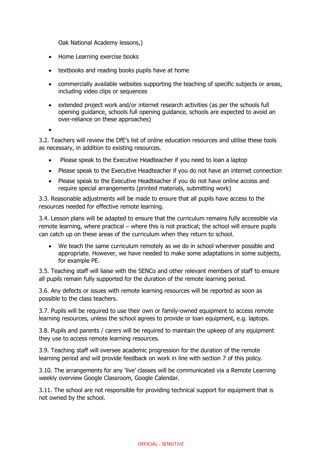Oak National Academy lessons,)

- Home Learning exercise books
- textbooks and reading books pupils have at home
- commercially available websites supporting the teaching of specific subjects or areas, including video clips or sequences
- extended project work and/or internet research activities (as per the [schools full](https://www.gov.uk/government/publications/actions-for-schools-during-the-coronavirus-outbreak/guidance-for-full-opening-schools#res)  [opening guidance,](https://www.gov.uk/government/publications/actions-for-schools-during-the-coronavirus-outbreak/guidance-for-full-opening-schools#res) schools full opening guidance, schools are expected to avoid an over-reliance on these approaches)

•

3.2. Teachers will review the DfE's list of online education resources and utilise these tools as necessary, in addition to existing resources.

- Please speak to the Executive Headteacher if you need to loan a laptop
- Please speak to the Executive Headteacher if you do not have an internet connection
- Please speak to the Executive Headteacher if you do not have online access and require special arrangements (printed materials, submitting work)

3.3. Reasonable adjustments will be made to ensure that all pupils have access to the resources needed for effective remote learning.

3.4. Lesson plans will be adapted to ensure that the curriculum remains fully accessible via remote learning, where practical – where this is not practical; the school will ensure pupils can catch up on these areas of the curriculum when they return to school.

• We teach the same curriculum remotely as we do in school wherever possible and appropriate. However, we have needed to make some adaptations in some subjects, for example PE.

3.5. Teaching staff will liaise with the SENCo and other relevant members of staff to ensure all pupils remain fully supported for the duration of the remote learning period.

3.6. Any defects or issues with remote learning resources will be reported as soon as possible to the class teachers.

3.7. Pupils will be required to use their own or family-owned equipment to access remote learning resources, unless the school agrees to provide or loan equipment, e.g. laptops.

3.8. Pupils and parents / carers will be required to maintain the upkeep of any equipment they use to access remote learning resources.

3.9. Teaching staff will oversee academic progression for the duration of the remote learning period and will provide feedback on work in line with section 7 of this policy.

3.10. The arrangements for any 'live' classes will be communicated via a Remote Learning weekly overview Google Classroom, Google Calendar.

3.11. The school are not responsible for providing technical support for equipment that is not owned by the school.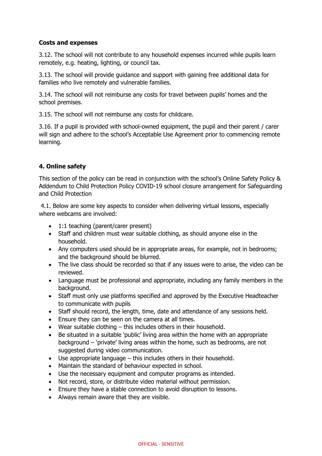### **Costs and expenses**

3.12. The school will not contribute to any household expenses incurred while pupils learn remotely, e.g. heating, lighting, or council tax.

3.13. The school will provide guidance and support with gaining free additional data for families who live remotely and vulnerable families.

3.14. The school will not reimburse any costs for travel between pupils' homes and the school premises.

3.15. The school will not reimburse any costs for childcare.

3.16. If a pupil is provided with school-owned equipment, the pupil and their parent / carer will sign and adhere to the school's Acceptable Use Agreement prior to commencing remote learning.

## **4. Online safety**

This section of the policy can be read in conjunction with the school's Online Safety Policy & Addendum to Child Protection Policy COVID-19 school closure arrangement for Safeguarding and Child Protection

4.1. Below are some key aspects to consider when delivering virtual lessons, especially where webcams are involved:

- 1:1 teaching (parent/carer present)
- Staff and children must wear suitable clothing, as should anyone else in the household.
- Any computers used should be in appropriate areas, for example, not in bedrooms; and the background should be blurred.
- The live class should be recorded so that if any issues were to arise, the video can be reviewed.
- Language must be professional and appropriate, including any family members in the background.
- Staff must only use platforms specified and approved by the Executive Headteacher to communicate with pupils
- Staff should record, the length, time, date and attendance of any sessions held.
- Ensure they can be seen on the camera at all times.
- Wear suitable clothing this includes others in their household.
- Be situated in a suitable 'public' living area within the home with an appropriate background – 'private' living areas within the home, such as bedrooms, are not suggested during video communication.
- Use appropriate language this includes others in their household.
- Maintain the standard of behaviour expected in school.
- Use the necessary equipment and computer programs as intended.
- Not record, store, or distribute video material without permission.
- Ensure they have a stable connection to avoid disruption to lessons.
- Always remain aware that they are visible.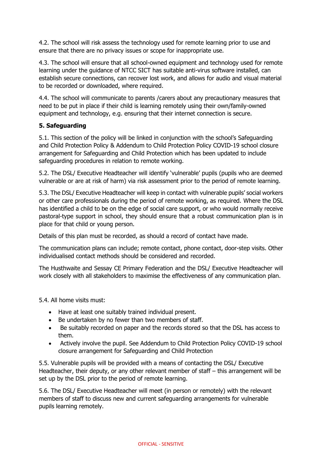4.2. The school will risk assess the technology used for remote learning prior to use and ensure that there are no privacy issues or scope for inappropriate use.

4.3. The school will ensure that all school-owned equipment and technology used for remote learning under the guidance of NTCC SICT has suitable anti-virus software installed, can establish secure connections, can recover lost work, and allows for audio and visual material to be recorded or downloaded, where required.

4.4. The school will communicate to parents /carers about any precautionary measures that need to be put in place if their child is learning remotely using their own/family-owned equipment and technology, e.g. ensuring that their internet connection is secure.

## **5. Safeguarding**

5.1. This section of the policy will be linked in conjunction with the school's Safeguarding and Child Protection Policy & Addendum to Child Protection Policy COVID-19 school closure arrangement for Safeguarding and Child Protection which has been updated to include safeguarding procedures in relation to remote working.

5.2. The DSL/ Executive Headteacher will identify 'vulnerable' pupils (pupils who are deemed vulnerable or are at risk of harm) via risk assessment prior to the period of remote learning.

5.3. The DSL/ Executive Headteacher will keep in contact with vulnerable pupils' social workers or other care professionals during the period of remote working, as required. Where the DSL has identified a child to be on the edge of social care support, or who would normally receive pastoral-type support in school, they should ensure that a robust communication plan is in place for that child or young person.

Details of this plan must be recorded, as should a record of contact have made.

The communication plans can include; remote contact, phone contact, door-step visits. Other individualised contact methods should be considered and recorded.

The Husthwaite and Sessay CE Primary Federation and the DSL/ Executive Headteacher will work closely with all stakeholders to maximise the effectiveness of any communication plan.

5.4. All home visits must:

- Have at least one suitably trained individual present.
- Be undertaken by no fewer than two members of staff.
- Be suitably recorded on paper and the records stored so that the DSL has access to them.
- Actively involve the pupil. See Addendum to Child Protection Policy COVID-19 school closure arrangement for Safeguarding and Child Protection

5.5. Vulnerable pupils will be provided with a means of contacting the DSL/ Executive Headteacher, their deputy, or any other relevant member of staff – this arrangement will be set up by the DSL prior to the period of remote learning.

5.6. The DSL/ Executive Headteacher will meet (in person or remotely) with the relevant members of staff to discuss new and current safeguarding arrangements for vulnerable pupils learning remotely.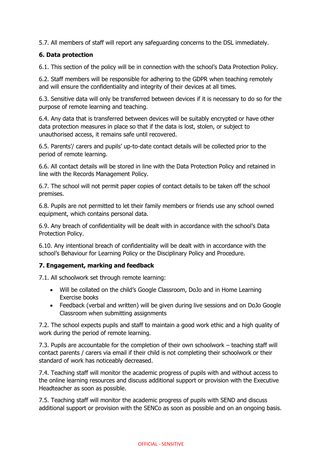5.7. All members of staff will report any safeguarding concerns to the DSL immediately.

### **6. Data protection**

6.1. This section of the policy will be in connection with the school's Data Protection Policy.

6.2. Staff members will be responsible for adhering to the GDPR when teaching remotely and will ensure the confidentiality and integrity of their devices at all times.

6.3. Sensitive data will only be transferred between devices if it is necessary to do so for the purpose of remote learning and teaching.

6.4. Any data that is transferred between devices will be suitably encrypted or have other data protection measures in place so that if the data is lost, stolen, or subject to unauthorised access, it remains safe until recovered.

6.5. Parents'/ carers and pupils' up-to-date contact details will be collected prior to the period of remote learning.

6.6. All contact details will be stored in line with the Data Protection Policy and retained in line with the Records Management Policy.

6.7. The school will not permit paper copies of contact details to be taken off the school premises.

6.8. Pupils are not permitted to let their family members or friends use any school owned equipment, which contains personal data.

6.9. Any breach of confidentiality will be dealt with in accordance with the school's Data Protection Policy.

6.10. Any intentional breach of confidentiality will be dealt with in accordance with the school's Behaviour for Learning Policy or the Disciplinary Policy and Procedure.

### **7. Engagement, marking and feedback**

7.1. All schoolwork set through remote learning:

- Will be collated on the child's Google Classroom, DoJo and in Home Learning Exercise books
- Feedback (verbal and written) will be given during live sessions and on DoJo Google Classroom when submitting assignments

7.2. The school expects pupils and staff to maintain a good work ethic and a high quality of work during the period of remote learning.

7.3. Pupils are accountable for the completion of their own schoolwork – teaching staff will contact parents / carers via email if their child is not completing their schoolwork or their standard of work has noticeably decreased.

7.4. Teaching staff will monitor the academic progress of pupils with and without access to the online learning resources and discuss additional support or provision with the Executive Headteacher as soon as possible.

7.5. Teaching staff will monitor the academic progress of pupils with SEND and discuss additional support or provision with the SENCo as soon as possible and on an ongoing basis.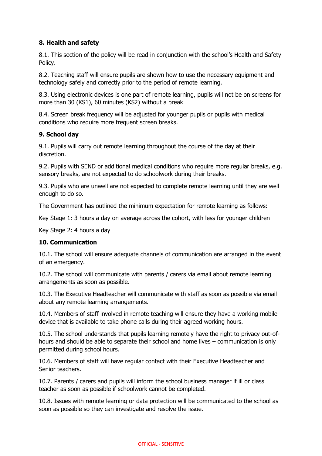## **8. Health and safety**

8.1. This section of the policy will be read in conjunction with the school's Health and Safety Policy.

8.2. Teaching staff will ensure pupils are shown how to use the necessary equipment and technology safely and correctly prior to the period of remote learning.

8.3. Using electronic devices is one part of remote learning, pupils will not be on screens for more than 30 (KS1), 60 minutes (KS2) without a break

8.4. Screen break frequency will be adjusted for younger pupils or pupils with medical conditions who require more frequent screen breaks.

#### **9. School day**

9.1. Pupils will carry out remote learning throughout the course of the day at their discretion.

9.2. Pupils with SEND or additional medical conditions who require more regular breaks, e.g. sensory breaks, are not expected to do schoolwork during their breaks.

9.3. Pupils who are unwell are not expected to complete remote learning until they are well enough to do so.

The Government has outlined the minimum expectation for remote learning as follows:

Key Stage 1: 3 hours a day on average across the cohort, with less for younger children

Key Stage 2: 4 hours a day

#### **10. Communication**

10.1. The school will ensure adequate channels of communication are arranged in the event of an emergency.

10.2. The school will communicate with parents / carers via email about remote learning arrangements as soon as possible.

10.3. The Executive Headteacher will communicate with staff as soon as possible via email about any remote learning arrangements.

10.4. Members of staff involved in remote teaching will ensure they have a working mobile device that is available to take phone calls during their agreed working hours.

10.5. The school understands that pupils learning remotely have the right to privacy out-ofhours and should be able to separate their school and home lives – communication is only permitted during school hours.

10.6. Members of staff will have regular contact with their Executive Headteacher and Senior teachers.

10.7. Parents / carers and pupils will inform the school business manager if ill or class teacher as soon as possible if schoolwork cannot be completed.

10.8. Issues with remote learning or data protection will be communicated to the school as soon as possible so they can investigate and resolve the issue.